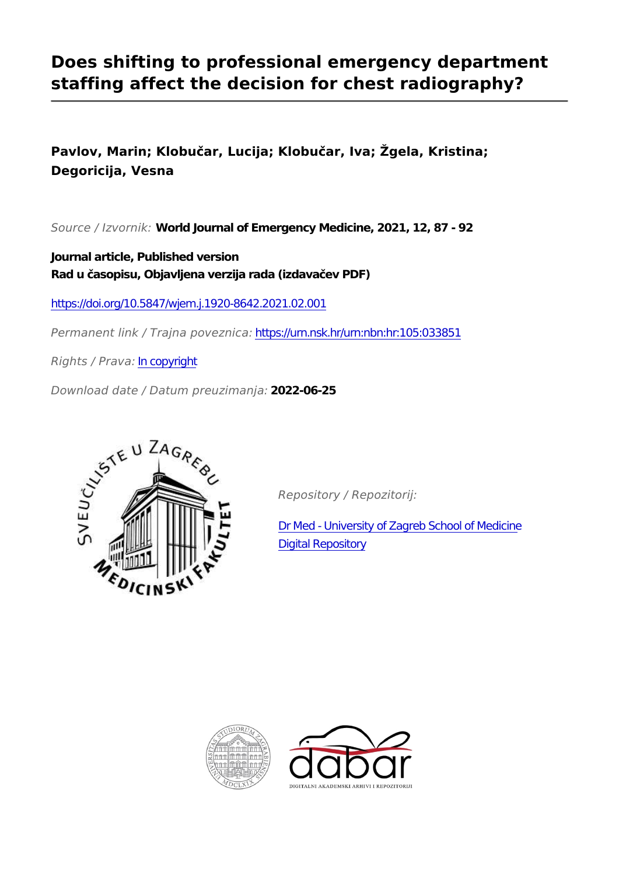## **Does shifting to professional emergency department staffing affect the decision for chest radiography?**

**Pavlov, Marin; Klobučar, Lucija; Klobučar, Iva; Žgela, Kristina; Degoricija, Vesna**

*Source / Izvornik:* **World Journal of Emergency Medicine, 2021, 12, 87 - 92**

**Journal article, Published version Rad u časopisu, Objavljena verzija rada (izdavačev PDF)**

<https://doi.org/10.5847/wjem.j.1920-8642.2021.02.001>

*Permanent link / Trajna poveznica:* <https://urn.nsk.hr/urn:nbn:hr:105:033851>

*Rights / Prava:* [In copyright](http://rightsstatements.org/vocab/InC/1.0/)

*Download date / Datum preuzimanja:* **2022-06-25**



*Repository / Repozitorij:*

[Dr Med - University of Zagreb School of Medicine](https://repozitorij.mef.unizg.hr) [Digital Repository](https://repozitorij.mef.unizg.hr)



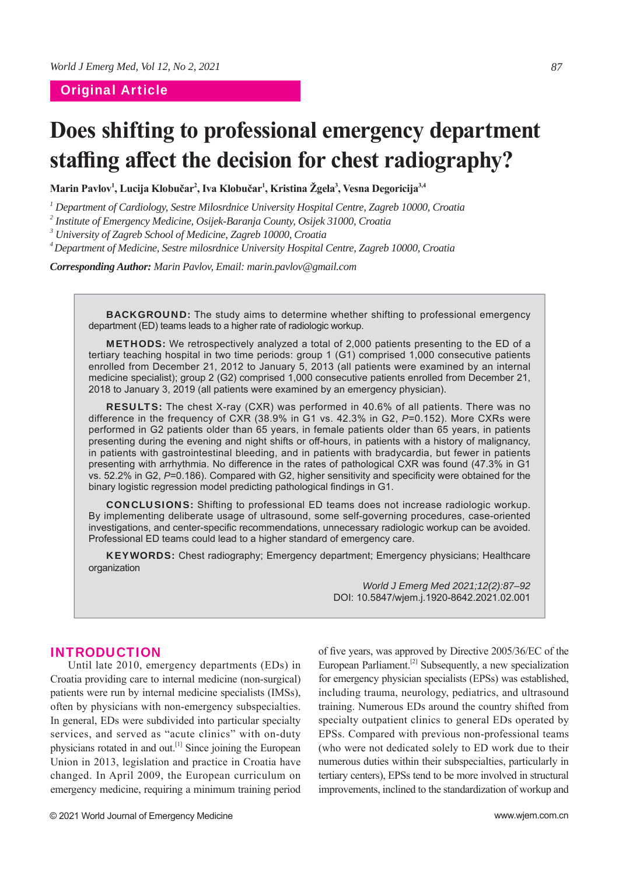### Original Article

# **Does shifting to professional emergency department**  staffing affect the decision for chest radiography?

Marin Pavlov<sup>1</sup>, Lucija Klobučar<sup>2</sup>, Iva Klobučar<sup>1</sup>, Kristina Žgela<sup>3</sup>, Vesna Degoricija<sup>3,4</sup>

*1 Department of Cardiology, Sestre Milosrdnice University Hospital Centre, Zagreb 10000, Croatia*

*2 Institute of Emergency Medicine, Osijek-Baranja County, Osijek 31000, Croatia*

*3 University of Zagreb School of Medicine, Zagreb 10000, Croatia*

*4 Department of Medicine, Sestre milosrdnice University Hospital Centre, Zagreb 10000, Croatia*

*Corresponding Author: Marin Pavlov, Email: marin.pavlov@gmail.com*

**BACKGROUND:** The study aims to determine whether shifting to professional emergency department (ED) teams leads to a higher rate of radiologic workup.

METHODS: We retrospectively analyzed a total of 2,000 patients presenting to the ED of a tertiary teaching hospital in two time periods: group 1 (G1) comprised 1,000 consecutive patients enrolled from December 21, 2012 to January 5, 2013 (all patients were examined by an internal medicine specialist); group 2 (G2) comprised 1,000 consecutive patients enrolled from December 21, 2018 to January 3, 2019 (all patients were examined by an emergency physician).

RESULTS: The chest X-ray (CXR) was performed in 40.6% of all patients. There was no difference in the frequency of CXR (38.9% in G1 vs. 42.3% in G2, *P*=0.152). More CXRs were performed in G2 patients older than 65 years, in female patients older than 65 years, in patients presenting during the evening and night shifts or off -hours, in patients with a history of malignancy, in patients with gastrointestinal bleeding, and in patients with bradycardia, but fewer in patients presenting with arrhythmia. No difference in the rates of pathological CXR was found (47.3% in G1 vs. 52.2% in G2, P=0.186). Compared with G2, higher sensitivity and specificity were obtained for the binary logistic regression model predicting pathological findings in G1.

CONCLUSIONS: Shifting to professional ED teams does not increase radiologic workup. By implementing deliberate usage of ultrasound, some self-governing procedures, case-oriented investigations, and center-specific recommendations, unnecessary radiologic workup can be avoided. Professional ED teams could lead to a higher standard of emergency care.

KEYWORDS: Chest radiography; Emergency department; Emergency physicians; Healthcare organization

> *World J Emerg Med 2021;12(2):87–92* DOI: 10.5847/wjem.j.1920-8642.2021.02.001

### INTRODUCTION

Until late 2010, emergency departments (EDs) in Croatia providing care to internal medicine (non-surgical) patients were run by internal medicine specialists (IMSs), often by physicians with non-emergency subspecialties. In general, EDs were subdivided into particular specialty services, and served as "acute clinics" with on-duty physicians rotated in and out.<sup>[1]</sup> Since joining the European Union in 2013, legislation and practice in Croatia have changed. In April 2009, the European curriculum on emergency medicine, requiring a minimum training period

of five years, was approved by Directive 2005/36/EC of the European Parliament.<sup>[2]</sup> Subsequently, a new specialization for emergency physician specialists (EPSs) was established, including trauma, neurology, pediatrics, and ultrasound training. Numerous EDs around the country shifted from specialty outpatient clinics to general EDs operated by EPSs. Compared with previous non-professional teams (who were not dedicated solely to ED work due to their numerous duties within their subspecialties, particularly in tertiary centers), EPSs tend to be more involved in structural improvements, inclined to the standardization of workup and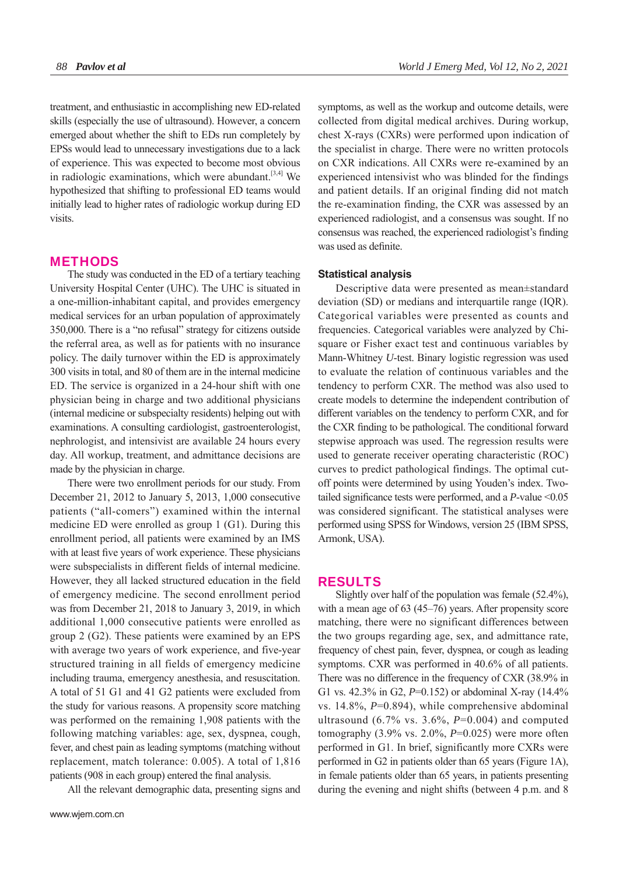treatment, and enthusiastic in accomplishing new ED-related skills (especially the use of ultrasound). However, a concern emerged about whether the shift to EDs run completely by EPSs would lead to unnecessary investigations due to a lack of experience. This was expected to become most obvious in radiologic examinations, which were abundant. $[3,4]$  We hypothesized that shifting to professional ED teams would initially lead to higher rates of radiologic workup during ED visits.

#### **METHODS**

The study was conducted in the ED of a tertiary teaching University Hospital Center (UHC). The UHC is situated in a one-million-inhabitant capital, and provides emergency medical services for an urban population of approximately 350,000. There is a "no refusal" strategy for citizens outside the referral area, as well as for patients with no insurance policy. The daily turnover within the ED is approximately 300 visits in total, and 80 of them are in the internal medicine ED. The service is organized in a 24-hour shift with one physician being in charge and two additional physicians (internal medicine or subspecialty residents) helping out with examinations. A consulting cardiologist, gastroenterologist, nephrologist, and intensivist are available 24 hours every day. All workup, treatment, and admittance decisions are made by the physician in charge.

There were two enrollment periods for our study. From December 21, 2012 to January 5, 2013, 1,000 consecutive patients ("all-comers") examined within the internal medicine ED were enrolled as group 1 (G1). During this enrollment period, all patients were examined by an IMS with at least five years of work experience. These physicians were subspecialists in different fields of internal medicine. However, they all lacked structured education in the field of emergency medicine. The second enrollment period was from December 21, 2018 to January 3, 2019, in which additional 1,000 consecutive patients were enrolled as group 2 (G2). These patients were examined by an EPS with average two years of work experience, and five-year structured training in all fields of emergency medicine including trauma, emergency anesthesia, and resuscitation. A total of 51 G1 and 41 G2 patients were excluded from the study for various reasons. A propensity score matching was performed on the remaining 1,908 patients with the following matching variables: age, sex, dyspnea, cough, fever, and chest pain as leading symptoms (matching without replacement, match tolerance: 0.005). A total of 1,816 patients (908 in each group) entered the final analysis.

All the relevant demographic data, presenting signs and

symptoms, as well as the workup and outcome details, were collected from digital medical archives. During workup, chest X-rays (CXRs) were performed upon indication of the specialist in charge. There were no written protocols on CXR indications. All CXRs were re-examined by an experienced intensivist who was blinded for the findings and patient details. If an original finding did not match the re-examination finding, the CXR was assessed by an experienced radiologist, and a consensus was sought. If no consensus was reached, the experienced radiologist's finding was used as definite.

#### **Statistical analysis**

Descriptive data were presented as mean±standard deviation (SD) or medians and interquartile range (IQR). Categorical variables were presented as counts and frequencies. Categorical variables were analyzed by Chisquare or Fisher exact test and continuous variables by Mann-Whitney *U*-test. Binary logistic regression was used to evaluate the relation of continuous variables and the tendency to perform CXR. The method was also used to create models to determine the independent contribution of different variables on the tendency to perform CXR, and for the CXR finding to be pathological. The conditional forward stepwise approach was used. The regression results were used to generate receiver operating characteristic (ROC) curves to predict pathological findings. The optimal cutoff points were determined by using Youden's index. Twotailed significance tests were performed, and a  $P$ -value  $\leq 0.05$ was considered significant. The statistical analyses were performed using SPSS for Windows, version 25 (IBM SPSS, Armonk, USA).

#### RESULTS

Slightly over half of the population was female (52.4%), with a mean age of 63 (45–76) years. After propensity score matching, there were no significant differences between the two groups regarding age, sex, and admittance rate, frequency of chest pain, fever, dyspnea, or cough as leading symptoms. CXR was performed in 40.6% of all patients. There was no difference in the frequency of CXR (38.9% in G1 vs. 42.3% in G2, *P*=0.152) or abdominal X-ray (14.4% vs. 14.8%, *P*=0.894), while comprehensive abdominal ultrasound (6.7% vs. 3.6%, *P*=0.004) and computed tomography  $(3.9\% \text{ vs. } 2.0\%, P=0.025)$  were more often performed in G1. In brief, significantly more CXRs were performed in G2 in patients older than 65 years (Figure 1A), in female patients older than 65 years, in patients presenting during the evening and night shifts (between 4 p.m. and 8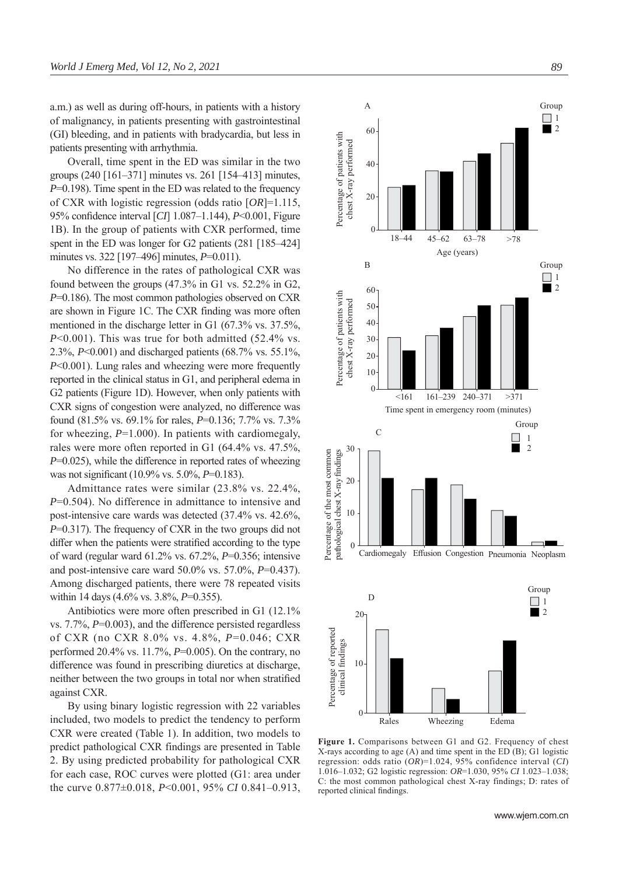a.m.) as well as during off-hours, in patients with a history of malignancy, in patients presenting with gastrointestinal (GI) bleeding, and in patients with bradycardia, but less in patients presenting with arrhythmia.

Overall, time spent in the ED was similar in the two groups (240 [161–371] minutes vs. 261 [154–413] minutes, *P*=0.198). Time spent in the ED was related to the frequency of CXR with logistic regression (odds ratio [*OR*]=1.115, 95% confidence interval [*CI*] 1.087–1.144), *P*<0.001, Figure 1B). In the group of patients with CXR performed, time spent in the ED was longer for G2 patients (281 [185–424] minutes vs. 322 [197–496] minutes, *P*=0.011).

No difference in the rates of pathological CXR was found between the groups (47.3% in G1 vs. 52.2% in G2, *P*=0.186). The most common pathologies observed on CXR are shown in Figure 1C. The CXR finding was more often mentioned in the discharge letter in G1 (67.3% vs. 37.5%, *P*<0.001). This was true for both admitted (52.4% vs. 2.3%, *P*<0.001) and discharged patients (68.7% vs. 55.1%, *P*<0.001). Lung rales and wheezing were more frequently reported in the clinical status in G1, and peripheral edema in G2 patients (Figure 1D). However, when only patients with CXR signs of congestion were analyzed, no difference was found (81.5% vs. 69.1% for rales, *P*=0.136; 7.7% vs. 7.3% for wheezing, *P*=1.000). In patients with cardiomegaly, rales were more often reported in G1 (64.4% vs. 47.5%,  $P=0.025$ ), while the difference in reported rates of wheezing was not significant (10.9% vs. 5.0%, *P*=0.183).

Admittance rates were similar (23.8% vs. 22.4%, *P*=0.504). No difference in admittance to intensive and post-intensive care wards was detected (37.4% vs. 42.6%, *P*=0.317). The frequency of CXR in the two groups did not differ when the patients were stratified according to the type of ward (regular ward 61.2% vs. 67.2%, *P*=0.356; intensive and post-intensive care ward 50.0% vs. 57.0%, *P*=0.437). Among discharged patients, there were 78 repeated visits within 14 days (4.6% vs. 3.8%, *P*=0.355).

Antibiotics were more often prescribed in G1 (12.1% vs. 7.7%, *P*=0.003), and the difference persisted regardless of CXR (no CXR 8.0% vs. 4.8%, *P*=0.046; CXR performed 20.4% vs. 11.7%, *P*=0.005). On the contrary, no difference was found in prescribing diuretics at discharge, neither between the two groups in total nor when stratified against CXR.

By using binary logistic regression with 22 variables included, two models to predict the tendency to perform CXR were created (Table 1). In addition, two models to predict pathological CXR findings are presented in Table 2. By using predicted probability for pathological CXR for each case, ROC curves were plotted (G1: area under the curve 0.877±0.018, *P*<0.001, 95% *CI* 0.841–0.913,



**Figure 1.** Comparisons between G1 and G2. Frequency of chest X-rays according to age (A) and time spent in the ED (B); G1 logistic regression: odds ratio (*OR*)=1.024, 95% confidence interval (*CI*) 1.016–1.032; G2 logistic regression: *OR*=1.030, 95% *CI* 1.023–1.038; C: the most common pathological chest X-ray findings; D: rates of reported clinical findings.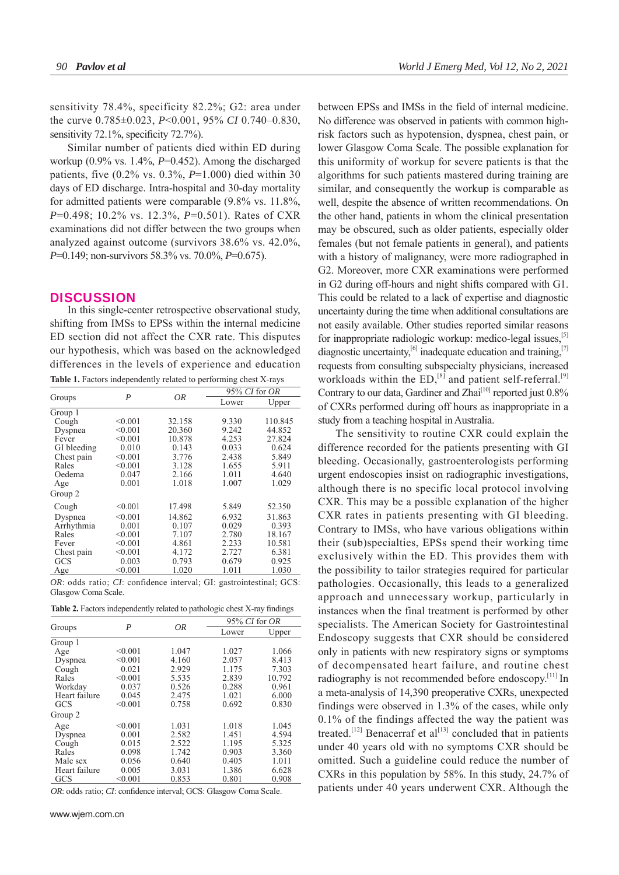sensitivity 78.4%, specificity 82.2%; G2: area under the curve 0.785±0.023, *P*<0.001, 95% *CI* 0.740–0.830, sensitivity  $72.1\%$ , specificity  $72.7\%$ ).

Similar number of patients died within ED during workup (0.9% vs. 1.4%, *P*=0.452). Among the discharged patients, five (0.2% vs. 0.3%, *P*=1.000) died within 30 days of ED discharge. Intra-hospital and 30-day mortality for admitted patients were comparable (9.8% vs. 11.8%, *P*=0.498; 10.2% vs. 12.3%, *P*=0.501). Rates of CXR examinations did not differ between the two groups when analyzed against outcome (survivors 38.6% vs. 42.0%, *P*=0.149; non-survivors 58.3% vs. 70.0%, *P*=0.675).

#### **DISCUSSION**

In this single-center retrospective observational study, shifting from IMSs to EPSs within the internal medicine ED section did not affect the CXR rate. This disputes our hypothesis, which was based on the acknowledged differences in the levels of experience and education **Table 1.** Factors independently related to performing chest X-rays

| Groups      | $\boldsymbol{P}$ | 0R     | 95% CI for OR |         |
|-------------|------------------|--------|---------------|---------|
|             |                  |        | Lower         | Upper   |
| Group 1     |                  |        |               |         |
| Cough       | < 0.001          | 32.158 | 9.330         | 110.845 |
| Dyspnea     | < 0.001          | 20.360 | 9.242         | 44.852  |
| Fever       | < 0.001          | 10.878 | 4.253         | 27.824  |
| GI bleeding | 0.010            | 0.143  | 0.033         | 0.624   |
| Chest pain  | < 0.001          | 3.776  | 2.438         | 5.849   |
| Rales       | < 0.001          | 3.128  | 1.655         | 5.911   |
| Oedema      | 0.047            | 2.166  | 1.011         | 4.640   |
| Age         | 0.001            | 1.018  | 1.007         | 1.029   |
| Group 2     |                  |        |               |         |
| Cough       | < 0.001          | 17.498 | 5.849         | 52.350  |
| Dyspnea     | < 0.001          | 14.862 | 6.932         | 31.863  |
| Arrhythmia  | 0.001            | 0.107  | 0.029         | 0.393   |
| Rales       | < 0.001          | 7.107  | 2.780         | 18.167  |
| Fever       | < 0.001          | 4.861  | 2.233         | 10.581  |
| Chest pain  | < 0.001          | 4.172  | 2.727         | 6.381   |
| GCS         | 0.003            | 0.793  | 0.679         | 0.925   |
| <b>Age</b>  | < 0.001          | 1.020  | 1.011         | 1.030   |
|             |                  |        |               |         |

*OR*: odds ratio; *CI*: confidence interval; GI: gastrointestinal; GCS: Glasgow Coma Scale.

Table 2. Factors independently related to pathologic chest X-ray findings

| Groups        | P       | 0R    | 95% CI for OR |        |
|---------------|---------|-------|---------------|--------|
|               |         |       | Lower         | Upper  |
| Group 1       |         |       |               |        |
| Age           | < 0.001 | 1.047 | 1.027         | 1.066  |
| Dyspnea       | < 0.001 | 4.160 | 2.057         | 8.413  |
| Cough         | 0.021   | 2.929 | 1.175         | 7.303  |
| Rales         | < 0.001 | 5.535 | 2.839         | 10.792 |
| Workday       | 0.037   | 0.526 | 0.288         | 0.961  |
| Heart failure | 0.045   | 2.475 | 1.021         | 6.000  |
| GCS           | < 0.001 | 0.758 | 0.692         | 0.830  |
| Group 2       |         |       |               |        |
| Age           | < 0.001 | 1.031 | 1.018         | 1.045  |
| Dyspnea       | 0.001   | 2.582 | 1.451         | 4.594  |
| Cough         | 0.015   | 2.522 | 1.195         | 5.325  |
| Rales         | 0.098   | 1.742 | 0.903         | 3.360  |
| Male sex      | 0.056   | 0.640 | 0.405         | 1.011  |
| Heart failure | 0.005   | 3.031 | 1.386         | 6.628  |
| GCS           | < 0.001 | 0.853 | 0.801         | 0.908  |

*OR*: odds ratio; *CI*: confidence interval; GCS: Glasgow Coma Scale.

between EPSs and IMSs in the field of internal medicine. No difference was observed in patients with common highrisk factors such as hypotension, dyspnea, chest pain, or lower Glasgow Coma Scale. The possible explanation for this uniformity of workup for severe patients is that the algorithms for such patients mastered during training are similar, and consequently the workup is comparable as well, despite the absence of written recommendations. On the other hand, patients in whom the clinical presentation may be obscured, such as older patients, especially older females (but not female patients in general), and patients with a history of malignancy, were more radiographed in G2. Moreover, more CXR examinations were performed in G2 during off-hours and night shifts compared with G1. This could be related to a lack of expertise and diagnostic uncertainty during the time when additional consultations are not easily available. Other studies reported similar reasons for inappropriate radiologic workup: medico-legal issues,[5] diagnostic uncertainty,<sup>[6]</sup> inadequate education and training,<sup>[7]</sup> requests from consulting subspecialty physicians, increased workloads within the  $ED$ ,<sup>[8]</sup> and patient self-referral.<sup>[9]</sup> Contrary to our data, Gardiner and Zhai<sup>[10]</sup> reported just 0.8% of CXRs performed during off hours as inappropriate in a study from a teaching hospital in Australia.

The sensitivity to routine CXR could explain the difference recorded for the patients presenting with GI bleeding. Occasionally, gastroenterologists performing urgent endoscopies insist on radiographic investigations, although there is no specific local protocol involving CXR. This may be a possible explanation of the higher CXR rates in patients presenting with GI bleeding. Contrary to IMSs, who have various obligations within their (sub)specialties, EPSs spend their working time exclusively within the ED. This provides them with the possibility to tailor strategies required for particular pathologies. Occasionally, this leads to a generalized approach and unnecessary workup, particularly in instances when the final treatment is performed by other specialists. The American Society for Gastrointestinal Endoscopy suggests that CXR should be considered only in patients with new respiratory signs or symptoms of decompensated heart failure, and routine chest radiography is not recommended before endoscopy.[11] In a meta-analysis of 14,390 preoperative CXRs, unexpected findings were observed in 1.3% of the cases, while only 0.1% of the findings affected the way the patient was treated.<sup>[12]</sup> Benacerraf et al<sup>[13]</sup> concluded that in patients under 40 years old with no symptoms CXR should be omitted. Such a guideline could reduce the number of CXRs in this population by 58%. In this study, 24.7% of patients under 40 years underwent CXR. Although the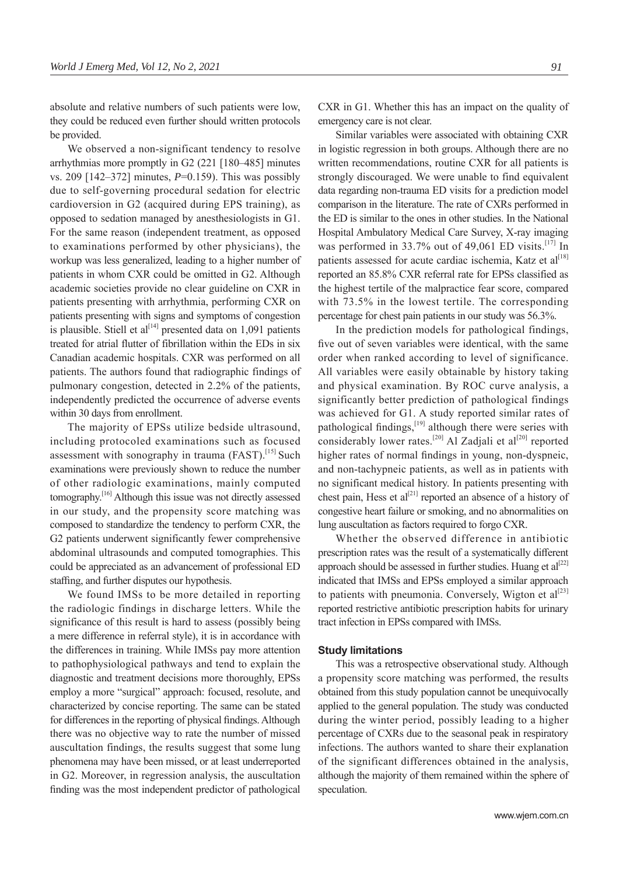absolute and relative numbers of such patients were low, they could be reduced even further should written protocols be provided.

We observed a non-significant tendency to resolve arrhythmias more promptly in G2 (221 [180–485] minutes vs. 209 [142–372] minutes, *P*=0.159). This was possibly due to self-governing procedural sedation for electric cardioversion in G2 (acquired during EPS training), as opposed to sedation managed by anesthesiologists in G1. For the same reason (independent treatment, as opposed to examinations performed by other physicians), the workup was less generalized, leading to a higher number of patients in whom CXR could be omitted in G2. Although academic societies provide no clear guideline on CXR in patients presenting with arrhythmia, performing CXR on patients presenting with signs and symptoms of congestion is plausible. Stiell et al<sup>[14]</sup> presented data on 1,091 patients treated for atrial flutter of fibrillation within the EDs in six Canadian academic hospitals. CXR was performed on all patients. The authors found that radiographic findings of pulmonary congestion, detected in 2.2% of the patients, independently predicted the occurrence of adverse events within 30 days from enrollment.

The majority of EPSs utilize bedside ultrasound, including protocoled examinations such as focused assessment with sonography in trauma  $(FAST)$ .<sup>[15]</sup> Such examinations were previously shown to reduce the number of other radiologic examinations, mainly computed tomography.[16] Although this issue was not directly assessed in our study, and the propensity score matching was composed to standardize the tendency to perform CXR, the G2 patients underwent significantly fewer comprehensive abdominal ultrasounds and computed tomographies. This could be appreciated as an advancement of professional ED staffing, and further disputes our hypothesis.

We found IMSs to be more detailed in reporting the radiologic findings in discharge letters. While the significance of this result is hard to assess (possibly being a mere difference in referral style), it is in accordance with the differences in training. While IMSs pay more attention to pathophysiological pathways and tend to explain the diagnostic and treatment decisions more thoroughly, EPSs employ a more "surgical" approach: focused, resolute, and characterized by concise reporting. The same can be stated for differences in the reporting of physical findings. Although there was no objective way to rate the number of missed auscultation findings, the results suggest that some lung phenomena may have been missed, or at least underreported in G2. Moreover, in regression analysis, the auscultation finding was the most independent predictor of pathological

CXR in G1. Whether this has an impact on the quality of emergency care is not clear.

Similar variables were associated with obtaining CXR in logistic regression in both groups. Although there are no written recommendations, routine CXR for all patients is strongly discouraged. We were unable to find equivalent data regarding non-trauma ED visits for a prediction model comparison in the literature. The rate of CXRs performed in the ED is similar to the ones in other studies. In the National Hospital Ambulatory Medical Care Survey, X-ray imaging was performed in 33.7% out of 49,061 ED visits.<sup>[17]</sup> In patients assessed for acute cardiac ischemia, Katz et  $al^{[18]}$ reported an 85.8% CXR referral rate for EPSs classified as the highest tertile of the malpractice fear score, compared with 73.5% in the lowest tertile. The corresponding percentage for chest pain patients in our study was 56.3%.

In the prediction models for pathological findings, five out of seven variables were identical, with the same order when ranked according to level of significance. All variables were easily obtainable by history taking and physical examination. By ROC curve analysis, a significantly better prediction of pathological findings was achieved for G1. A study reported similar rates of pathological findings, $[19]$  although there were series with considerably lower rates.<sup>[20]</sup> Al Zadjali et al<sup>[20]</sup> reported higher rates of normal findings in young, non-dyspneic, and non-tachypneic patients, as well as in patients with no significant medical history. In patients presenting with chest pain, Hess et al<sup>[21]</sup> reported an absence of a history of congestive heart failure or smoking, and no abnormalities on lung auscultation as factors required to forgo CXR.

Whether the observed difference in antibiotic prescription rates was the result of a systematically different approach should be assessed in further studies. Huang et  $al^{[22]}$ indicated that IMSs and EPSs employed a similar approach to patients with pneumonia. Conversely, Wigton et  $al^{[23]}$ reported restrictive antibiotic prescription habits for urinary tract infection in EPSs compared with IMSs.

#### **Study limitations**

This was a retrospective observational study. Although a propensity score matching was performed, the results obtained from this study population cannot be unequivocally applied to the general population. The study was conducted during the winter period, possibly leading to a higher percentage of CXRs due to the seasonal peak in respiratory infections. The authors wanted to share their explanation of the significant differences obtained in the analysis, although the majority of them remained within the sphere of speculation.